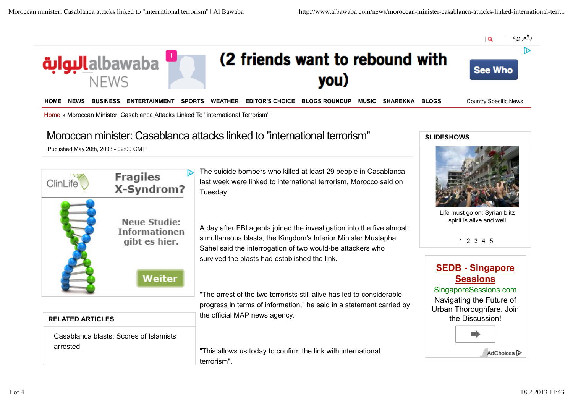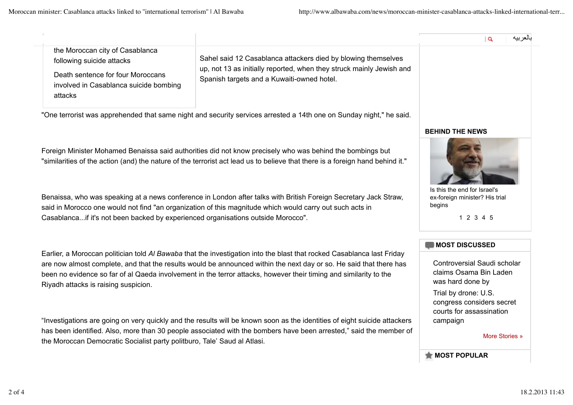